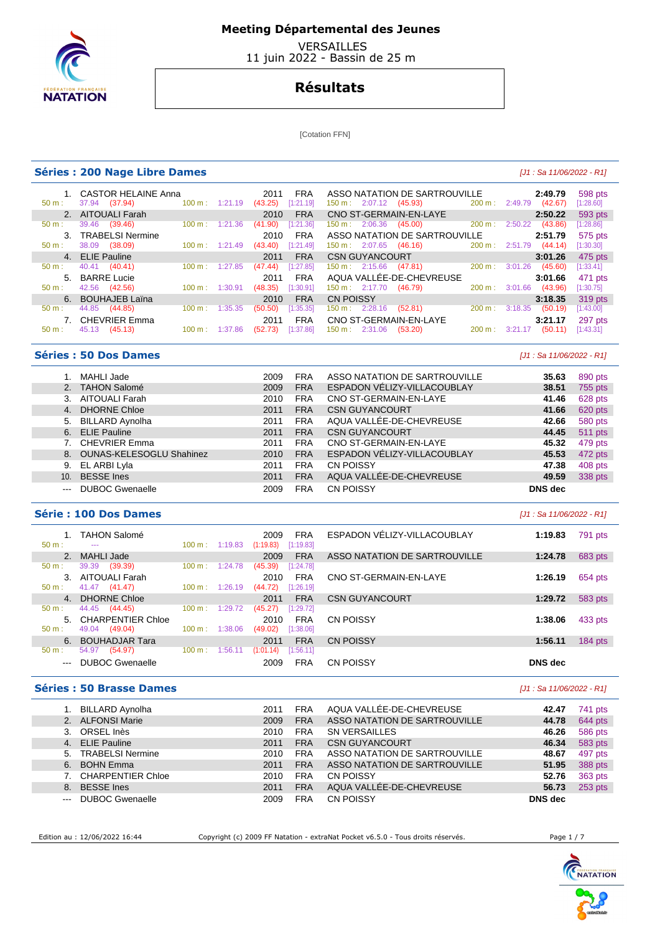

 VERSAILLES 11 juin 2022 - Bassin de 25 m

## **Résultats**

[Cotation FFN]

#### **Séries : 200 Nage Libre Dames and the contract of the contract of the contract of the contract of the contract of the contract of the contract of the contract of the contract of the contract of the contract of the contr**

| $50 \text{ m}$ : | 1. CASTOR HELAINE Anna<br>37.94 (37.94) | $100 \text{ m}$ : | 1:21.19 | 2011<br>(43.25) | <b>FRA</b><br>[1:21.19] | ASSO NATATION DE SARTROUVILLE<br>$150 \text{ m}: 2:07.12$ (45.93) | 200 m:            | 2:49.79        | 2:49.79<br>(42.67) | 598 pts<br>[1:28.60] |
|------------------|-----------------------------------------|-------------------|---------|-----------------|-------------------------|-------------------------------------------------------------------|-------------------|----------------|--------------------|----------------------|
|                  | 2. AITOUALI Farah                       |                   |         | 2010            | <b>FRA</b>              | CNO ST-GERMAIN-EN-LAYE                                            |                   |                | 2:50.22            | 593 pts              |
| $50 \text{ m}$ : | 39.46 (39.46)                           | $100 \text{ m}$ : | 1:21.36 | (41.90)         | [1:21.36]               | 2:06.36<br>(45.00)<br>150 m:                                      | 200 m:            | 2:50.22        | (43.86)            | [1:28.86]            |
|                  | 3. TRABELSI Nermine                     |                   |         | 2010            | <b>FRA</b>              | ASSO NATATION DE SARTROUVILLE                                     |                   |                | 2:51.79            | 575 pts              |
| $50 \text{ m}$ : | 38.09<br>(38.09)                        | $100 \text{ m}$ : | 1:21.49 | (43.40)         | [1:21.49]               | $150 \text{ m}: 2:07.65$ (46.16)                                  |                   | 200 m: 2:51.79 | (44.14)            | [1:30.30]            |
|                  | 4. ELIE Pauline                         |                   |         | 2011            | <b>FRA</b>              | <b>CSN GUYANCOURT</b>                                             |                   |                | 3:01.26            | 475 pts              |
| $50 \text{ m}$ : | 40.41 (40.41)                           | 100 m:            | 1:27.85 | (47.44)         | [1:27.85]               | $150 \text{ m}: 2:15.66$                                          | (47.81)<br>200 m: | 3:01.26        | (45.60)            | [1:33.41]            |
|                  | 5. BARRE Lucie                          |                   |         | 2011            | <b>FRA</b>              | AQUA VALLÉE-DE-CHEVREUSE                                          |                   |                | 3:01.66            | 471 pts              |
| $50 \text{ m}$ : | 42.56 (42.56)                           | $100 \text{ m}$ : | 1:30.91 | (48.35)         | [1:30.91]               | 150 m: 2:17.70<br>(46.79)                                         | 200 m:            | 3:01.66        | (43.96)            | [1:30.75]            |
|                  | 6. BOUHAJEB Laïna                       |                   |         | 2010            | <b>FRA</b>              | <b>CN POISSY</b>                                                  |                   |                | 3:18.35            | 319 pts              |
| $50 \text{ m}$ : | 44.85 (44.85)                           | 100 m:            | 1:35.35 | (50.50)         | [1:35.35]               | 150 m: 2:28.16<br>(52.81)                                         | 200 m:            | 3:18.35        | (50.19)            | [1:43.00]            |
|                  | 7. CHEVRIER Emma                        |                   |         | 2011            | <b>FRA</b>              | CNO ST-GERMAIN-EN-LAYE                                            |                   |                | 3:21.17            | 297 pts              |
| 50 m:            | 45.13 (45.13)                           | 100 m:            | 1:37.86 | (52.73)         | [1:37.86]               | $150 \text{ m}$ :<br>2:31.06<br>(53.20)                           | 200 m:            | 3:21.17        | (50.11)            | [1:43.31]            |
|                  |                                         |                   |         |                 |                         |                                                                   |                   |                |                    |                      |

## **Séries : 50 Dos Dames blue de la comparacte de la comparacte de la comparacte de la comparacte de la comparacte de la comparacte de la comparacte de la comparacte de la comparacte de la comparacte de la comparacte de la**

|                                                                                                | MAHLI Jade                  | 2009 | <b>FRA</b> | ASSO NATATION DE SARTROUVILLE | 35.63          | 890 pts |
|------------------------------------------------------------------------------------------------|-----------------------------|------|------------|-------------------------------|----------------|---------|
|                                                                                                | 2. TAHON Salomé             | 2009 | <b>FRA</b> | ESPADON VÉLIZY-VILLACOUBLAY   | 38.51          | 755 pts |
| 3.                                                                                             | <b>AITOUALI Farah</b>       | 2010 | <b>FRA</b> | CNO ST-GERMAIN-EN-LAYE        | 41.46          | 628 pts |
|                                                                                                | 4. DHORNE Chloe             | 2011 | <b>FRA</b> | <b>CSN GUYANCOURT</b>         | 41.66          | 620 pts |
|                                                                                                | 5. BILLARD Aynolha          | 2011 | <b>FRA</b> | AQUA VALLÉE-DE-CHEVREUSE      | 42.66          | 580 pts |
|                                                                                                | 6. ELIE Pauline             | 2011 | <b>FRA</b> | <b>CSN GUYANCOURT</b>         | 44.45          | 511 pts |
|                                                                                                | 7. CHEVRIER Emma            | 2011 | <b>FRA</b> | CNO ST-GERMAIN-EN-LAYE        | 45.32          | 479 pts |
|                                                                                                | 8. OUNAS-KELESOGLU Shahinez | 2010 | <b>FRA</b> | ESPADON VÉLIZY-VILLACOUBLAY   | 45.53          | 472 pts |
|                                                                                                | 9. EL ARBI Lyla             | 2011 | <b>FRA</b> | <b>CN POISSY</b>              | 47.38          | 408 pts |
| 10.                                                                                            | <b>BESSE</b> Ines           | 2011 | <b>FRA</b> | AQUA VALLÉE-DE-CHEVREUSE      | 49.59          | 338 pts |
| $\frac{1}{2} \left( \frac{1}{2} \right) \left( \frac{1}{2} \right) \left( \frac{1}{2} \right)$ | <b>DUBOC Gwenaelle</b>      | 2009 | <b>FRA</b> | CN POISSY                     | <b>DNS</b> dec |         |

## **Série : 100 Dos Dames Exercía de La Casa de La Casa de La Casa de La Casa de La Casa de La Casa de La Casa de La Casa de La Casa de La Casa de La Casa de La Casa de La Casa de La Casa de La Casa de La Casa de La Casa de**

 1. TAHON Salomé 2009 FRA ESPADON VÉLIZY-VILLACOUBLAY **1:19.83** 791 pts 100 m : 1:19.83 (1:19.83) [1:19.83] 2. MAHLI Jade 2009 FRA ASSO NATATION DE SARTROUVILLE **1:24.78** 683 pts 50 m : 39.39 (39.39)<br>3. AITOUALI Farah 3. AITOUALI Farah 2010 FRA CNO ST-GERMAIN-EN-LAYE **1:26.19** 654 pts  $(44.72)$   $[1:26.19]$  4. DHORNE Chloe 2011 FRA CSN GUYANCOURT **1:29.72** 583 pts 50 m : 44.45 (44.45) 100 m : 1:29.72 (45.27) [1:29.72] 5. CHARPENTIER Chloe 2010 FRA CN POISSY **1:38.06** 433 pts  $(49.02)$  [1:38.06] 6. BOUHADJAR Tara 2011 FRA CN POISSY **1:56.11** 184 pts  $(1:01.14)$  [1:56.11] --- DUBOC Gwenaelle 2009 FRA CN POISSY **DNS dec** 

### **Séries : 50 Brasse Dames blue and the series of the series of the series of the Sa 11/06/2022 - R1]**

|                     | <b>BILLARD Aynolha</b>  | 2011 | <b>FRA</b> | AQUA VALLÉE-DE-CHEVREUSE      | 42.47   | 741 pts   |
|---------------------|-------------------------|------|------------|-------------------------------|---------|-----------|
| 2 <sub>1</sub>      | <b>ALFONSI Marie</b>    | 2009 | <b>FRA</b> | ASSO NATATION DE SARTROUVILLE | 44.78   | 644 pts   |
|                     | 3. ORSEL Inès           | 2010 | <b>FRA</b> | <b>SN VERSAILLES</b>          | 46.26   | 586 pts   |
|                     | 4. ELIE Pauline         | 2011 | <b>FRA</b> | <b>CSN GUYANCOURT</b>         | 46.34   | 583 pts   |
| 5.                  | <b>TRABELSI Nermine</b> | 2010 | <b>FRA</b> | ASSO NATATION DE SARTROUVILLE | 48.67   | 497 pts   |
| 6.                  | <b>BOHN Emma</b>        | 2011 | <b>FRA</b> | ASSO NATATION DE SARTROUVILLE | 51.95   | 388 pts   |
|                     | 7. CHARPENTIER Chloe    | 2010 | <b>FRA</b> | <b>CN POISSY</b>              | 52.76   | 363 pts   |
| 8.                  | <b>BESSE</b> Ines       | 2011 | <b>FRA</b> | AQUA VALLÉE-DE-CHEVREUSE      | 56.73   | $253$ pts |
| $\qquad \qquad - -$ | <b>DUBOC Gwenaelle</b>  | 2009 | <b>FRA</b> | CN POISSY                     | DNS dec |           |

Edition au : 12/06/2022 16:44 Copyright (c) 2009 FF Natation - extraNat Pocket v6.5.0 - Tous droits réservés. Page 1 / 7

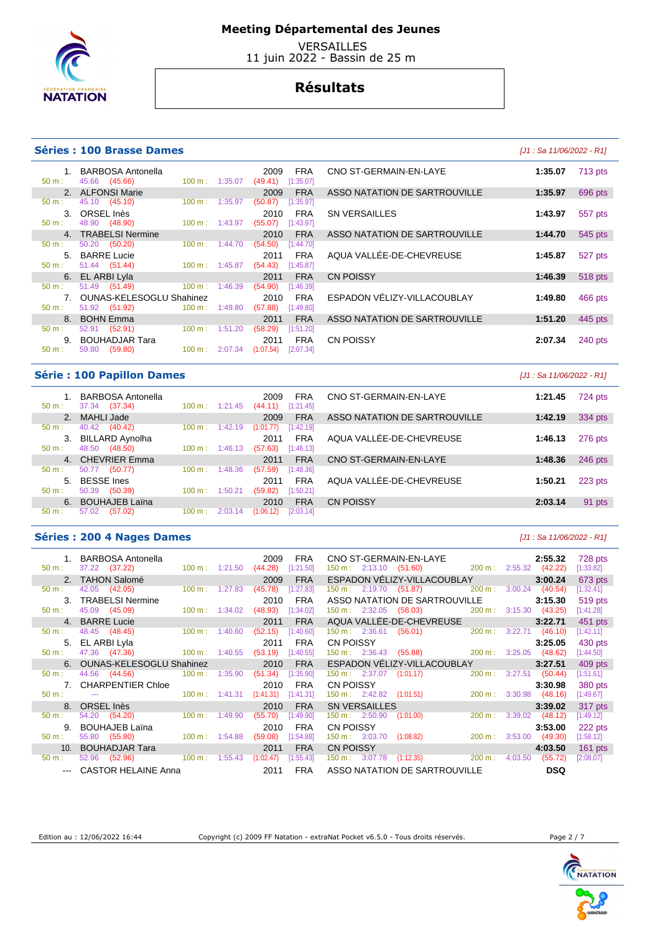

 VERSAILLES 11 juin 2022 - Bassin de 25 m

## **Résultats**

## **Séries : 100 Brasse Dames Canadiate Canadiate Canadiate Canadiate Canadiate Canadiate Canadiate Canadiate Canadiate Canadiate Canadiate Canadiate Canadiate Canadiate Canadiate Canadiate Canadiate Canadiate Canadiate Can**

1. BARBOSA Antonella 2009 FRA CNO ST-GERMAIN-EN-LAYE **1:35.07** 713 pts

4. TRABELSI Nermine 2010 FRA<br>
50 m : 50.20 (50.20) 100 m : 1:44.70 (54.50) [1:44.70] 50.20 (50.20) 100 m : 1:44.70 (54.50) [1:44.70]

50 m : 51.44 (51.44) 100 m : 1:45.87 (54.43) [1:45.87] **6. EL ARBI Lyla** 2011 FRA<br>
50 m : 51.49 (51.49) 100 m : 1:46.39 (54.90) [1:46.39] 51.49 (51.49) 100 m : 1:46.39 (54.90) 7. OUNAS-KELESOGLU Shahinez 2010 FRA<br>
50 m : 51.92 (51.92) 100 m : 1:49.80 (57.88) [1:49.80]

9. BOUHADJAR Tara 2011 FRA 2011 **FRA** 50 m : 59.80 (59.80) 100 m : 2:07.34 (1:07.54) [2:07.34] 50 m : 59.80 (59.80) 100 m : 2:07.34 (1:07.54) [2:07.34]

8. BOHN Emma 2011 FRA ASSO NATATION DE SARTROUVILLE **1:51.20** 445 pts

2. ALFONSI Marie 2009 FRA<br>
2. 45.10 (45.10) 100 m : 1:35.97 (50.87) [1:35.97] 50 m : 45.10 (45.10) 100 m : 1:35.97 (50.87) [1:35.97] 3. ORSEL Inès 2010 FRA<br>
50 m : 48.90 (48.90) 100 m : 1:43.97 (55.07) [1:43.97]

|    | s . IVV DIASSE DAINES                   |                   |                           |                                                              |                                             | $101.9a 11/00/Z0ZZ - N11$ |                |
|----|-----------------------------------------|-------------------|---------------------------|--------------------------------------------------------------|---------------------------------------------|---------------------------|----------------|
|    | 1. BARBOSA Antonella<br>45.66 (45.66)   |                   | $100 \text{ m}$ : 1:35.07 | 2009<br>(49.41)<br>[1:35.07]                                 | <b>FRA</b><br>CNO ST-GERMAIN-EN-LAYE        | 1:35.07                   | <b>713 pts</b> |
|    | 2. ALFONSI Marie                        |                   |                           | 2009                                                         | ASSO NATATION DE SARTROUVILLE<br><b>FRA</b> | 1:35.97                   | 696 pts        |
|    | 45.10 (45.10)                           | $100 \text{ m}$ : | 1:35.97                   | (50.87)                                                      | [1:35.97]                                   |                           |                |
|    | 3. ORSEL Inès                           |                   |                           | 2010                                                         | <b>SN VERSAILLES</b><br><b>FRA</b>          | 1:43.97                   | 557 pts        |
|    | 48.90 (48.90)                           |                   | $100 \text{ m}: 1:43.97$  | (55.07)<br>[1:43.97]                                         |                                             |                           |                |
|    | 4. TRABELSI Nermine                     |                   |                           | 2010                                                         | ASSO NATATION DE SARTROUVILLE<br><b>FRA</b> | 1:44.70                   | 545 pts        |
|    | 50.20 (50.20)                           | $100 \text{ m}$ : | 1:44.70                   | (54.50)<br>[1:44.70]                                         |                                             |                           |                |
|    | 5. BARRE Lucie                          |                   |                           | 2011                                                         | AQUA VALLÉE-DE-CHEVREUSE<br><b>FRA</b>      | 1:45.87                   | 527 pts        |
|    | 51.44 (51.44)                           |                   | $100 \text{ m}$ : 1:45.87 | (54.43)<br>[1:45.87]                                         |                                             |                           |                |
|    | 6. EL ARBI Lyla                         |                   |                           | 2011                                                         | <b>CN POISSY</b><br><b>FRA</b>              | 1:46.39                   | 518 pts        |
|    | 51.49 (51.49)                           | 100 m:            | 1:46.39                   | (54.90)<br>[1:46.39]                                         |                                             |                           |                |
|    | 7. OUNAS-KELESOGLU Shahinez             |                   |                           | 2010                                                         | ESPADON VÉLIZY-VILLACOUBLAY<br><b>FRA</b>   | 1:49.80                   | 466 pts        |
|    | 51.92 (51.92)                           | $100 \text{ m}$ : | 1:49.80                   | (57.88)<br>[1:49.80]                                         |                                             |                           |                |
|    | 8. BOHN Emma                            |                   |                           | 2011                                                         | ASSO NATATION DE SARTROUVILLE<br><b>FRA</b> | 1:51.20                   | 445 pts        |
| ۰. | (52.91)<br>52.91                        | 100 m:            | 1:51.20                   | (58.29)<br>[1:51.20]                                         |                                             |                           |                |
|    | 9. BOUHADJAR Tara                       |                   |                           | 2011                                                         | <b>CN POISSY</b><br><b>FRA</b>              | 2:07.34                   | 240 pts        |
|    | $F \cap \cap \cap$ $(F \cap \cap \cap)$ |                   |                           | $A \cap \cap$ $A \cap \cap \cap \cap A$ /4.07 FA) [0.07 0.4] |                                             |                           |                |

## **Série : 100 Papillon Dames** [J1 : Sa 11/06/2022 - R1]

| $50 \text{ m}$ : | BARBOSA Antonella<br>37.34<br>(37.34) | $100 \text{ m}$ : | 1:21.45 | 2009<br>(44.11) | <b>FRA</b><br>[1:21.45] | CNO ST-GERMAIN-EN-LAYE        | 1:21.45 | 724 pts |
|------------------|---------------------------------------|-------------------|---------|-----------------|-------------------------|-------------------------------|---------|---------|
|                  | 2. MAHLI Jade                         |                   |         | 2009            | <b>FRA</b>              | ASSO NATATION DE SARTROUVILLE | 1:42.19 | 334 pts |
| $50 \text{ m}$ : | 40.42<br>(40.42)                      | $100 \text{ m}$ : | 1:42.19 | (1:01.77)       | [1:42.19]               |                               |         |         |
| 3.               | <b>BILLARD Aynolha</b>                |                   |         | 2011            | <b>FRA</b>              | AQUA VALLÉE-DE-CHEVREUSE      | 1:46.13 | 276 pts |
| $50 m$ :         | (48.50)<br>48.50                      | 100 m:            | 1:46.13 | (57.63)         | [1:46.13]               |                               |         |         |
|                  | 4. CHEVRIER Emma                      |                   |         | 2011            | <b>FRA</b>              | CNO ST-GERMAIN-EN-LAYE        | 1:48.36 | 246 pts |
| $50 m$ :         | 50.77<br>(50.77)                      | $100 \text{ m}$ : | 1:48.36 | (57.59)         | [1:48.36]               |                               |         |         |
| 5.               | <b>BESSE</b> Ines                     |                   |         | 2011            | <b>FRA</b>              | AQUA VALLÉE-DE-CHEVREUSE      | 1:50.21 | 223 pts |
| $50 m$ :         | 50.39<br>(50.39)                      | 100 m:            | 1:50.21 | (59.82)         | [1:50.21]               |                               |         |         |
|                  | 6. BOUHAJEB Laïna                     |                   |         | 2010            | <b>FRA</b>              | <b>CN POISSY</b>              | 2:03.14 | 91 pts  |
| $50 m$ :         | 57.02<br>(57.02)                      | 100 m:            | 2:03.14 | (1:06.12)       | [2:03.14]               |                               |         |         |
|                  |                                       |                   |         |                 |                         |                               |         |         |

#### **Séries : 200 4 Nages Dames and** *Series* **: 200 4 Nages Dames and** *Series* **: 200 4 Nages Dames <b>and** *Series* : 200 4 Nages Dames **and** *Series* : 200 4 Nages Dames **and** *Series* : 200 4 Nages Dames **and** *Series* : 20

| $50 m$ :       | 1. BARBOSA Antonella<br>37.22 (37.22)                   | $100 \text{ m}: 1:21.50$  |         | 2009<br>(44.28) | <b>FRA</b><br>[1:21.50] |                                                | CNO ST-GERMAIN-EN-LAYE<br>150 m : 2:13.10 (51.60) 200 m : 2:55.32 (42.22)                                                                                                                                                     |                          | 2:55.32    | 728 pts<br>[1:33.82] |
|----------------|---------------------------------------------------------|---------------------------|---------|-----------------|-------------------------|------------------------------------------------|-------------------------------------------------------------------------------------------------------------------------------------------------------------------------------------------------------------------------------|--------------------------|------------|----------------------|
|                | 2. TAHON Salomé                                         |                           |         | 2009            | <b>FRA</b>              | ESPADON VELIZY-VILLACOUBLAY                    |                                                                                                                                                                                                                               |                          | 3:00.24    | 673 pts              |
| 50 m:          | 42.05 (42.05)                                           | $100 \text{ m}: 1:27.83$  |         | (45.78)         | [1:27.83]               | 150 m : 2:19.70 (51.87)                        | 200 m:                                                                                                                                                                                                                        | 3:00.24                  | (40.54)    | [1:32.41]            |
| 3 <sub>1</sub> | <b>TRABELSI Nermine</b>                                 |                           |         | 2010            | <b>FRA</b>              | ASSO NATATION DE SARTROUVILLE                  |                                                                                                                                                                                                                               |                          | 3:15.30    | 519 pts              |
| 50 m:          | 45.09 (45.09)                                           | $100 \text{ m}: 1:34.02$  |         | (48.93)         | [1:34.02]               | 150 m : 2:32.05 (58.03)                        | 200 m:                                                                                                                                                                                                                        | $3:15.30$ (43.25)        |            | [1:41.28]            |
|                | 4. BARRE Lucie                                          |                           |         | 2011            | <b>FRA</b>              |                                                | AQUA VALLEE-DE-CHEVREUSE                                                                                                                                                                                                      |                          | 3:22.71    | 451 pts              |
| 50 m:          | 48.45 (48.45)                                           | $100 \text{ m}$ : 1:40.60 |         | (52.15)         | [1:40.60]               | $150 \text{ m}: 2:36.61$                       | (56.01)<br>$200 \text{ m}$ :                                                                                                                                                                                                  | 3:22.71                  | (46.10)    | [1:42.11]            |
|                | 5. EL ARBI Lyla                                         |                           |         | 2011            | <b>FRA</b>              |                                                | CN POISSY AND THE STATE OF THE STATE OF THE STATE OF THE STATE OF THE STATE OF THE STATE OF THE STATE OF THE STATE OF THE STATE OF THE STATE OF THE STATE OF THE STATE OF THE STATE OF THE STATE OF THE STATE OF THE STATE OF |                          | 3:25.05    | 430 pts              |
| 50 m:          | 47.36 (47.36)                                           | $100 \text{ m}$ : 1:40.55 |         | (53.19)         | [1:40.55]               |                                                | 150 m : 2:36.43 (55.88) 200 m : 3:25.05                                                                                                                                                                                       |                          | (48.62)    | [1:44.50]            |
|                | 6. OUNAS-KELESOGLU Shahinez                             |                           |         | 2010            | <b>FRA</b>              | ESPADON VÉLIZY-VILLACOUBLAY                    |                                                                                                                                                                                                                               |                          | 3:27.51    | 409 pts              |
| 50 m:          | 44.56 (44.56)                                           | $100 \text{ m}: 1:35.90$  |         | (51.34)         | [1:35.90]               | $150 \text{ m}: \quad 2:37.07 \quad (1:01.17)$ |                                                                                                                                                                                                                               | 200 m : 3:27.51          | (50.44)    | [1:51.61]            |
|                | 7. CHARPENTIER Chloe                                    |                           |         | 2010            | <b>FRA</b>              | CN POISSY                                      |                                                                                                                                                                                                                               |                          | 3:30.98    | 380 pts              |
| 50 m:          | $100 \text{ m}$ : $1:41.31$<br><b>Service Contracts</b> |                           |         | (1:41.31)       | [1:41.31]               | 150 m : 2:42.82 (1:01.51)                      |                                                                                                                                                                                                                               | 200 m: 3:30.98 (48.16)   |            | [1:49.67]            |
|                | 8. ORSEL Inès                                           |                           |         | 2010            | <b>FRA</b>              | <b>SN VERSAILLES</b>                           |                                                                                                                                                                                                                               |                          | 3:39.02    | 317 pts              |
| 50 m:          | 54.20 (54.20)                                           | $100 \text{ m}$ :         | 1:49.90 | (55.70)         | [1:49.90]               | 150 m: 2:50.90                                 | (1:01.00)                                                                                                                                                                                                                     | $200 \text{ m}: 3:39.02$ | (48.12)    | [1:49.12]            |
| 9.             | <b>BOUHAJEB Laïna</b>                                   |                           |         | 2010            | <b>FRA</b>              | <b>CN POISSY</b>                               |                                                                                                                                                                                                                               |                          | 3:53.00    | 222 pts              |
| 50 m:          | 55.80 (55.80)                                           | $100 \text{ m}$ : 1:54.88 |         | (59.08)         | [1:54.88]               | 150 m: 3:03.70<br>(1:08.82)                    | 200 m :                                                                                                                                                                                                                       | 3:53.00                  | (49.30)    | [1:58.12]            |
| 10.            | BOUHADJAR Tara                                          |                           |         | 2011            | <b>FRA</b>              | <b>CN POISSY</b>                               |                                                                                                                                                                                                                               |                          | 4:03.50    | $161$ pts            |
| 50 m:          | 52.96<br>(52.96)                                        | $100 \text{ m}$ :         | 1:55.43 | (1:02.47)       | [1:55.43]               | 150 m: 3:07.78                                 | $(1:12.35)$ 200 m :                                                                                                                                                                                                           | 4:03.50                  | (55.72)    | [2:08.07]            |
|                | CASTOR HELAINE Anna                                     |                           |         | 2011            | <b>FRA</b>              | ASSO NATATION DE SARTROUVILLE                  |                                                                                                                                                                                                                               |                          | <b>DSQ</b> |                      |

Edition au : 12/06/2022 16:44 Copyright (c) 2009 FF Natation - extraNat Pocket v6.5.0 - Tous droits réservés. Page 2 / 7



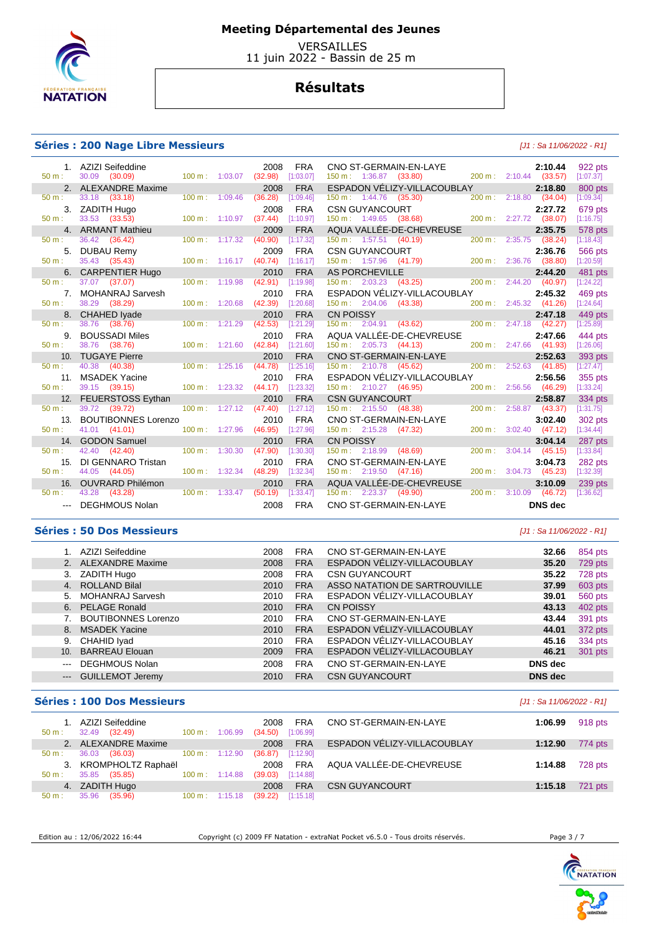

 VERSAILLES 11 juin 2022 - Bassin de 25 m

## **Résultats**

## **Séries : 200 Nage Libre Messieurs** [J1 : Sa 11/06/2022 - R1]

|                  | 1. AZIZI Seifeddine        |                             | 2008                | <b>FRA</b> |                                  | CNO ST-GERMAIN-EN-LAYE                                                                                                                                 |                        | 2:10.44        | 922 pts   |
|------------------|----------------------------|-----------------------------|---------------------|------------|----------------------------------|--------------------------------------------------------------------------------------------------------------------------------------------------------|------------------------|----------------|-----------|
| $50 m$ :         | 30.09 (30.09)              | $100 \text{ m}$ : 1:03.07   | (32.98)             | [1:03.07]  | $150 \text{ m}: 1:36.87$ (33.80) | $200 \text{ m}: 2:10.44$ (33.57)                                                                                                                       |                        |                | [1:07.37] |
|                  | 2. ALEXANDRE Maxime        |                             | 2008                | <b>FRA</b> |                                  | ESPADON VĚLIZY-VILLACOUBLAY                                                                                                                            |                        | 2:18.80        | 800 pts   |
| $50 m$ :         | 33.18 (33.18)              | $100 \text{ m}$ : $1:09.46$ | (36.28)             | [1:09.46]  | 150 m: 1:44.76 (35.30)           |                                                                                                                                                        | 200 m: 2:18.80 (34.04) |                | [1:09.34] |
|                  | 3. ZADITH Hugo             |                             | 2008                | <b>FRA</b> |                                  | <b>CSN GUYANCOURT</b><br>150 m : 1:49.65 (38.68)                                                                                                       |                        | 2:27.72        | 679 pts   |
| 50 m:            | 33.53 (33.53)              | $100 \text{ m}: 1:10.97$    | (37.44)             | [1:10.97]  |                                  |                                                                                                                                                        | 200 m: 2:27.72 (38.07) |                | [1:16.75] |
|                  | 4. ARMANT Mathieu          |                             | 2009                | <b>FRA</b> |                                  | AQUA VALLÉE-DE-CHEVREUSE                                                                                                                               |                        | 2:35.75        | 578 pts   |
| $50 m$ :         | 36.42 (36.42)              | 100 m: 1:17.32              | (40.90)             | [1:17.32]  | $150 \text{ m}: 1:57.51 (40.19)$ |                                                                                                                                                        | 200 m: 2:35.75 (38.24) |                | [1:18.43] |
| 5.               | DUBAU Remy                 |                             | 2009                | <b>FRA</b> |                                  |                                                                                                                                                        |                        |                | 566 pts   |
| 50 m:            | 35.43 (35.43)              | 100 m: 1:16.17              | (40.74)             | [1:16.17]  |                                  |                                                                                                                                                        |                        |                | [1:20.59] |
|                  | <b>CARPENTIER Hugo</b>     |                             | 2010                | <b>FRA</b> |                                  | CSN GUYANCOURT 2:36.76<br>150 m : 1:57.96 (41.79) 200 m : 2:36.76 (38.80)<br>AS PORCHEVILLE 2:44.20<br>150 m : 2:03.23 (43.25) 200 m : 2:44.20 (40.97) |                        |                | 481 pts   |
| $50 \text{ m}$ : | 37.07 (37.07)              | 100 m: 1:19.98              | (42.91)             | [1:19.98]  |                                  |                                                                                                                                                        |                        |                | [1:24.22] |
|                  | 7. MOHANRAJ Sarvesh        |                             | 2010                | <b>FRA</b> |                                  | ESPADON VÉLIZY-VILLACOUBLAY                                                                                                                            |                        | 2:45.32        | 469 pts   |
| 50 m:            | 38.29 (38.29)              | 100 m: 1:20.68              | (42.39)             | [1:20.68]  | 150 m: 2:04.06 (43.38)           |                                                                                                                                                        | 200 m: 2:45.32 (41.26) |                | [1:24.64] |
|                  | CHAHED lyade               |                             | 2010                | <b>FRA</b> | <b>CN POISSY</b>                 |                                                                                                                                                        |                        | 2:47.18        | 449 pts   |
| $50 m$ :         | 38.76 (38.76)              | 100 m: 1:21.29              | (42.53)             | [1:21.29]  |                                  | 150 m : 2:04.91 (43.62)                                                                                                                                | 200 m: 2:47.18 (42.27) |                | [1:25.89] |
| 9.               | <b>BOUSSADI Miles</b>      |                             | 2010                | <b>FRA</b> |                                  | AQUA VALLÉE-DE-CHEVREUSE                                                                                                                               |                        | 2:47.66        | 444 pts   |
| $50 m$ :         | 38.76 (38.76)              | 100 m: 1:21.60              | (42.84)             | [1:21.60]  | $150 \text{ m}: 2:05.73$ (44.13) |                                                                                                                                                        | 200 m: 2:47.66 (41.93) |                | [1:26.06] |
| 10 <sub>1</sub>  | <b>TUGAYE Pierre</b>       |                             | 2010                | <b>FRA</b> |                                  | CNO ST-GERMAIN-EN-LAYE                                                                                                                                 |                        | 2:52.63        | 393 pts   |
| 50 m:            | 40.38 (40.38)              | $100 m$ : 1:25.16           | (44.78)             | [1:25.16]  | 150 m: 2:10.78 (45.62)           |                                                                                                                                                        | 200 m: 2:52.63 (41.85) |                | [1:27.47] |
| 11.              | <b>MSADEK Yacine</b>       |                             | 2010                | <b>FRA</b> |                                  | ESPADON VÉLIZY-VILLACOUBLAY                                                                                                                            |                        | 2:56.56        | 355 pts   |
| 50 m:            | 39.15 (39.15)              | $100 \text{ m}: 1:23.32$    | $(44.17)$ [1:23.32] |            |                                  | 150 m : 2:10.27 (46.95)                                                                                                                                | 200 m: 2:56.56 (46.29) |                | [1:33.24] |
|                  | 12. FEUERSTOSS Eythan      |                             | 2010                | <b>FRA</b> |                                  | CSN GUYANCOURT                                                                                                                                         |                        | 2:58.87        | 334 pts   |
| $50 m$ :         | 39.72 (39.72)              | $100 m$ : 1:27.12           | (47.40)             | [1:27.12]  |                                  | $150 \text{ m}: 2:15.50 (48.38)$                                                                                                                       | 200 m: 2:58.87 (43.37) |                | [1:31.75] |
| 13.              | <b>BOUTIBONNES Lorenzo</b> |                             | 2010                | <b>FRA</b> |                                  | CNO ST-GERMAIN-EN-LAYE                                                                                                                                 |                        | 3:02.40        | 302 pts   |
| 50 m:            | 41.01 (41.01)              | 100 m: 1:27.96              | (46.95)             | [1:27.96]  | 150 m: 2:15.28 (47.32)           |                                                                                                                                                        | 200 m: 3:02.40 (47.12) |                | [1:34.44] |
| 14.              | <b>GODON Samuel</b>        |                             | 2010                | <b>FRA</b> | <b>CN POISSY</b>                 |                                                                                                                                                        |                        | 3:04.14        | 287 pts   |
| $50 m$ :         | 42.40 (42.40)              | $100 \text{ m}$ : 1:30.30   | (47.90)             | [1:30.30]  |                                  | 150 m : 2:18.99 (48.69)                                                                                                                                | 200 m: 3:04.14 (45.15) |                | [1:33.84] |
| 15.              | DI GENNARO Tristan         |                             | 2010                | <b>FRA</b> |                                  | CNO ST-GERMAIN-EN-LAYE                                                                                                                                 |                        | 3:04.73        | 282 pts   |
| $50 m$ :         | 44.05 (44.05)              | 100 m: 1:32.34              | (48.29)             | [1:32.34]  |                                  | 150 m : 2:19.50 (47.16)                                                                                                                                | 200 m: 3:04.73 (45.23) |                | [1:32.39] |
| 16.              | <b>OUVRARD Philémon</b>    |                             | 2010                | <b>FRA</b> |                                  | AQUA VALLÉE-DE-CHEVREUSE                                                                                                                               |                        | 3:10.09        | 239 pts   |
| $50 m$ :         | 43.28 (43.28)              | $100 \text{ m}: 1:33.47$    | (50.19)             | [1:33.47]  | 150 m : 2:23.37 (49.90)          |                                                                                                                                                        | 200 m: 3:10.09 (46.72) |                | [1:36.62] |
|                  | DEGHMOUS Nolan             |                             | 2008                | <b>FRA</b> |                                  | CNO ST-GERMAIN-EN-LAYE                                                                                                                                 |                        | <b>DNS</b> dec |           |

## **Séries : 50 Dos Messieurs** [J1 : Sa 11/06/2022 - R1]

|               | AZIZI Seifeddine           | 2008 | <b>FRA</b> | CNO ST-GERMAIN-EN-LAYE        | 32.66          | 854 pts |
|---------------|----------------------------|------|------------|-------------------------------|----------------|---------|
|               | 2. ALEXANDRE Maxime        | 2008 | <b>FRA</b> | ESPADON VÉLIZY-VILLACOUBLAY   | 35.20          | 729 pts |
|               | 3. ZADITH Hugo             | 2008 | <b>FRA</b> | <b>CSN GUYANCOURT</b>         | 35.22          | 728 pts |
|               | 4. ROLLAND Bilal           | 2010 | <b>FRA</b> | ASSO NATATION DE SARTROUVILLE | 37.99          | 603 pts |
|               | 5. MOHANRAJ Sarvesh        | 2010 | <b>FRA</b> | ESPADON VÉLIZY-VILLACOUBLAY   | 39.01          | 560 pts |
|               | 6. PELAGE Ronald           | 2010 | <b>FRA</b> | <b>CN POISSY</b>              | 43.13          | 402 pts |
|               | <b>BOUTIBONNES Lorenzo</b> | 2010 | <b>FRA</b> | CNO ST-GERMAIN-EN-LAYE        | 43.44          | 391 pts |
|               | 8. MSADEK Yacine           | 2010 | <b>FRA</b> | ESPADON VÉLIZY-VILLACOUBLAY   | 44.01          | 372 pts |
|               | 9. CHAHID Iyad             | 2010 | <b>FRA</b> | ESPADON VÉLIZY-VILLACOUBLAY   | 45.16          | 334 pts |
|               | 10. BARREAU Elouan         | 2009 | <b>FRA</b> | ESPADON VÉLIZY-VILLACOUBLAY   | 46.21          | 301 pts |
| $\frac{1}{2}$ | <b>DEGHMOUS Nolan</b>      | 2008 | <b>FRA</b> | CNO ST-GERMAIN-EN-LAYE        | DNS dec        |         |
| $---$         | <b>GUILLEMOT Jeremy</b>    | 2010 | <b>FRA</b> | <b>CSN GUYANCOURT</b>         | <b>DNS</b> dec |         |
|               |                            |      |            |                               |                |         |

## **Séries : 100 Dos Messieurs and the series of the series and the series of the series of the series (J1 : Sa 11/06/2022 - R1]**

| 1. AZIZI Seifeddine<br>32.49 (32.49)<br>$50 m$ : | $100 \text{ m}$ :<br>1:06.99 | <b>FRA</b><br>2008<br>[1:06.99]<br>(34.50) | CNO ST-GERMAIN-EN-LAYE      | 1:06.99 | 918 pts |
|--------------------------------------------------|------------------------------|--------------------------------------------|-----------------------------|---------|---------|
| 2. ALEXANDRE Maxime                              |                              | <b>FRA</b><br>2008                         | ESPADON VÉLIZY-VILLACOUBLAY | 1:12.90 | 774 pts |
| 36.03<br>(36.03)<br>$50 m$ :                     | $100 \text{ m}: 1:12.90$     | (36.87)<br>[1:12.90]                       |                             |         |         |
| 3. KROMPHOLTZ Raphaël                            |                              | <b>FRA</b><br>2008                         | AQUA VALLÉE-DE-CHEVREUSE    | 1:14.88 | 728 pts |
| 35.85 (35.85)<br>$50 m$ :                        | $100 \text{ m}: 1:14.88$     | [1:14.88]<br>(39.03)                       |                             |         |         |
| ZADITH Hugo<br>4.                                |                              | <b>FRA</b><br>2008                         | <b>CSN GUYANCOURT</b>       | 1:15.18 | 721 pts |
| 35.96<br>(35.96)<br>$50 m$ :                     | $100 \text{ m}: 1:15.18$     | [1:15.18]<br>(39.22)                       |                             |         |         |

Edition au : 12/06/2022 16:44 Copyright (c) 2009 FF Natation - extraNat Pocket v6.5.0 - Tous droits réservés. Page 3 / 7

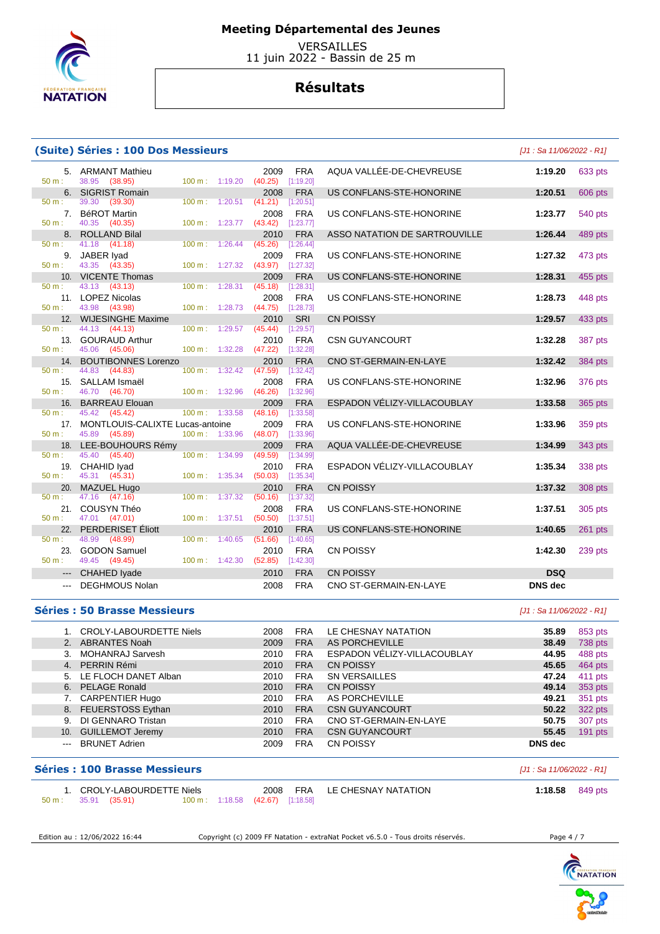

 VERSAILLES 11 juin 2022 - Bassin de 25 m

## **Résultats**

### **(Suite) Séries : 100 Dos Messieurs** [J1 : Sa 11/06/2022 - R1]

50 m : 39.30 (39.30) 100 m : 1:20.51 (41.21) [1:20.51]

50 m : 41.18 (41.18) 100 m : 1:26.44 (45.26) [1:26.44]

50 m : 43.13 (43.13) 100 m : 1:28.31 (45.18) [1:28.31]

50 m : 44.13 (44.13) 100 m : 1:29.57 (45.44) [1:29.57]

50 m : 45.06 (45.06) 100 m : 1:32.28 (47.22) [1:32.28]

50 m : 44.83 (44.83) 100 m : 1:32.42 (47.59) [1:32.42]

50 m : 45.42 (45.42) 100 m : 1:33.58 (48.16) [1:33.58]

50 m : 45.89 (45.89) 100 m : 1:33.96 (48.07) [1:33.96]

50 m : 45.31 (45.31) 100 m : 1:35.34 (50.03) [1:35.34]

50 m : 47.16 (47.16) 100 m : 1:37.32 (50.16) [1:37.32]

50 m : 48.99 (48.99) 100 m : 1:40.65 (51.66) [1:40.65]

38.95 (38.95)

40.35 (40.35)

43.35 (43.35)

43.98 (43.98)

46.70 (46.70)

45.40 (45.40)

47.01 (47.01)

49.45 (49.45)

# 5. ARMANT Mathieu 2009 FRA AQUA VALLÉE-DE-CHEVREUSE **1:19.20** 633 pts 6. SIGRIST Romain 2008 FRA US CONFLANS-STE-HONORINE **1:20.51** 606 pts 7. BéROT Martin 2008 FRA US CONFLANS-STE-HONORINE **1:23.77** 540 pts 8. ROLLAND Bilal 2010 FRA ASSO NATATION DE SARTROUVILLE **1:26.44** 489 pts<br>
50 m : 41.18 (41.18) 100 m : 1:26.44 (45.26) [1:26.44] 9. JABER Iyad 2009 FRA US CONFLANS-STE-HONORINE **1:27.32** 473 pts 10. VICENTE Thomas 2009 FRA US CONFLANS-STE-HONORINE **1:28.31** 455 pts 11. LOPEZ Nicolas 2008 FRA US CONFLANS-STE-HONORINE **1:28.73** 448 pts 12. WIJESINGHE Maxime 2010 SRI CN POISSY **1:29.57** 433 pts 13. GOURAUD Arthur 2010 FRA CSN GUYANCOURT **1:32.28** 387 pts 14. BOUTIBONNES Lorenzo 2010 FRA CNO ST-GERMAIN-EN-LAYE 1:32.42 384 pts<br>
50 m : 44.83 (44.83) (100 m : 1:32.42 (47.59) [1:32.42] 15. SALLAM Ismaël 2008 FRA US CONFLANS-STE-HONORINE **1:32.96** 376 pts 16. BARREAU Elouan 2009 FRA ESPADON VÉLIZY-VILLACOUBLAY **1:33.58** 365 pts 17. MONTLOUIS-CALIXTE Lucas-antoine 2009 FRA US CONFLANS-STE-HONORINE **1:33.96** 359 pts 18. LEE-BOUHOURS Rémy 2009 FRA AQUA VALLÉE-DE-CHEVREUSE **1:34.99** 343 pts 19. CHAHID Iyad 2010 FRA ESPADON VÉLIZY-VILLACOUBLAY **1:35.34** 338 pts 20. MAZUEL Hugo 2010 FRA CN POISSY **1:37.32** 308 pts 21. COUSYN Théo 2008 FRA US CONFLANS-STE-HONORINE **1:37.51** 305 pts 22. PERDERISET Éliott 2010 FRA US CONFLANS-STE-HONORINE **1:40.65** 261 pts 23. GODON Samuel 2010 FRA CN POISSY **1:42.30** 239 pts --- CHAHED Iyade 2010 FRA CN POISSY **DSQ**  --- DEGHMOUS Nolan 2008 FRA CNO ST-GERMAIN-EN-LAYE **DNS dec**

#### **Séries : 50 Brasse Messieurs** [J1 : Sa 11/06/2022 - R1]

|               | 1. CROLY-LABOURDETTE Niels | 2008 | <b>FRA</b> | LE CHESNAY NATATION         | 35.89   | 853 pts   |
|---------------|----------------------------|------|------------|-----------------------------|---------|-----------|
|               | 2. ABRANTES Noah           | 2009 | <b>FRA</b> | AS PORCHEVILLE              | 38.49   | 738 pts   |
|               | 3. MOHANRAJ Sarvesh        | 2010 | <b>FRA</b> | ESPADON VÉLIZY-VILLACOUBLAY | 44.95   | 488 pts   |
|               | 4. PERRIN Rémi             | 2010 | <b>FRA</b> | <b>CN POISSY</b>            | 45.65   | 464 pts   |
|               | 5. LE FLOCH DANET Alban    | 2010 | <b>FRA</b> | <b>SN VERSAILLES</b>        | 47.24   | 411 pts   |
|               | 6. PELAGE Ronald           | 2010 | <b>FRA</b> | <b>CN POISSY</b>            | 49.14   | 353 pts   |
|               | 7. CARPENTIER Hugo         | 2010 | <b>FRA</b> | AS PORCHEVILLE              | 49.21   | 351 pts   |
|               | 8. FEUERSTOSS Eythan       | 2010 | <b>FRA</b> | <b>CSN GUYANCOURT</b>       | 50.22   | 322 pts   |
|               | 9. DI GENNARO Tristan      | 2010 | <b>FRA</b> | CNO ST-GERMAIN-EN-LAYE      | 50.75   | 307 pts   |
|               | 10. GUILLEMOT Jeremy       | 2010 | <b>FRA</b> | <b>CSN GUYANCOURT</b>       | 55.45   | $191$ pts |
| $\frac{1}{2}$ | <b>BRUNET Adrien</b>       | 2009 | <b>FRA</b> | <b>CN POISSY</b>            | DNS dec |           |

|                  | <b>Séries : 100 Brasse Messieurs</b>        |                                  |  |                              | [J1 : Sa 11/06/2022 - R1] |  |
|------------------|---------------------------------------------|----------------------------------|--|------------------------------|---------------------------|--|
| $50 \text{ m}$ : | 1. CROLY-LABOURDETTE Niels<br>35.91 (35.91) | 100 m: 1:18.58 (42.67) [1:18.58] |  | 2008 FRA LE CHESNAY NATATION | 1:18.58 $849 \text{ pts}$ |  |

Edition au : 12/06/2022 16:44 Copyright (c) 2009 FF Natation - extraNat Pocket v6.5.0 - Tous droits réservés.

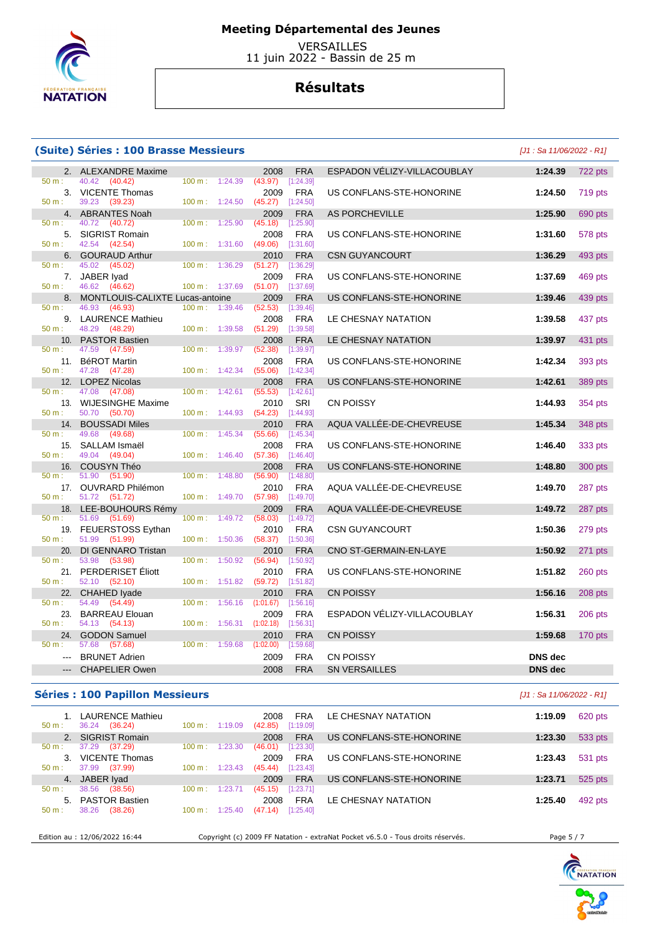

50 m : 39.23 (39.23)

46.62 (46.62)

47.08 (47.08)

49.04 (49.04)

51.99 (51.99)

 $52.10$   $(52.10)$ 

54.13 (54.13)

 $50 \text{ m} \cdot 48.29$  (48.29) 100 m ·

## **Meeting Départemental des Jeunes**

 VERSAILLES 11 juin 2022 - Bassin de 25 m

## **Résultats**

### **(Suite) Séries : 100 Brasse Messieurs and the community of the Cause of Cause 2022** - R1]

50 m : 40.42 (40.42) 100 m : 1:24.39 (43.97) [1:24.39]

50 m : 40.72 (40.72) 100 m : 1:25.90 (45.18) [1:25.90]

50 m : 42.54 (42.54) 100 m : 1:31.60 (49.06) [1:31.60]

50 m : 45.02 (45.02) 100 m : 1:36.29 (51.27) [1:36.29]

50 m : 46.93 (46.93) 100 m : 1:39.46 (52.53) [1:39.46]

50 m : 47.59 (47.59) 100 m : 1:39.97 (52.38) [1:39.97]

50 m : 47.28 (47.28) 100 m : 1:42.34 (55.06) [1:42.34]

50 m : 50.70 (50.70) 100 m : 1:44.93 (54.23) [1:44.93]

50 m : 49.68 (49.68) 100 m : 1:45.34 (55.66) [1:45.34]

50 m : 51.90 (51.90) 100 m : 1:48.80 (56.90) [1:48.80

50 m : 51.72 (51.72) 100 m : 1:49.70 (57.98) [1:49.70]

50 m : 51.69 (51.69) 100 m : 1:49.72 (58.03) [1:49.72]

50 m : 53.98 (53.98) 100 m : 1:50.92 (56.94) [1:50.92]

50 m : 54.49 (54.49) 100 m : 1:56.16 (1:01.67) [1:56.16]

50 m : 57.68 (57.68) 100 m : 1:59.68 (1:02.00) [1:59.68]

# 2. ALEXANDRE Maxime 2008 FRA ESPADON VÉLIZY-VILLACOUBLAY **1:24.39** 722 pts **100 m**:  $1:24.39$  **1:24.39 100 m**:  $1:24.39$  **(43.97)**  $[1:24.39]$  3. VICENTE Thomas 2009 FRA US CONFLANS-STE-HONORINE **1:24.50** 719 pts 4. ABRANTES Noah 2009 FRA AS PORCHEVILLE **1:25.90** 690 pts **1:25.90** 690 pts **1:25.90 1:25.90 1:25.90 1:25.90 1:25.90 1:25.90 1:25.90 1:25.90 1:25.90 1:25.90 1:25.90 1:25.90 1:25.90 1:25.90 1:25**  5. SIGRIST Romain 2008 FRA US CONFLANS-STE-HONORINE **1:31.60** 578 pts 6. GOURAUD Arthur 2010 FRA CSN GUYANCOURT **1:36.29** 493 pts 7. JABER Iyad 2009 FRA US CONFLANS-STE-HONORINE **1:37.69** 469 pts 8. MONTLOUIS-CALIXTE Lucas-antoine 2009 FRA US CONFLANS-STE-HONORINE **1:39.46** 439 pts **1:39.46 1:39.46 1:39.46 1:39.46 1:39.46 1:39.46 1:39.46 1:39.46 1:39.46 1:39.46 1:39.46 1:39.46 1:39.46 1:39**  9. LAURENCE Mathieu 2008 FRA LE CHESNAY NATATION **1:39.58** 437 pts 10. PASTOR Bastien 2008 FRA LE CHESNAY NATATION **1:39.97** 431 pts 11. BéROT Martin 2008 FRA US CONFLANS-STE-HONORINE **1:42.34** 393 pts 12. LOPEZ Nicolas 2008 FRA US CONFLANS-STE-HONORINE **1:42.61** 389 pts 13. WIJESINGHE Maxime 2010 SRI CN POISSY **1:44.93** 354 pts 14. BOUSSADI Miles 2010 FRA AQUA VALLÉE-DE-CHEVREUSE **1:45.34** 348 pts 15. SALLAM Ismaël 2008 FRA US CONFLANS-STE-HONORINE **1:46.40** 333 pts 16. COUSYN Théo 2008 FRA US CONFLANS-STE-HONORINE **1:48.80** 300 pts 17. OUVRARD Philémon 2010 FRA AQUA VALLÉE-DE-CHEVREUSE **1:49.70** 287 pts 18. LEE-BOUHOURS Rémy 2009 FRA AQUA VALLÉE-DE-CHEVREUSE **1:49.72** 287 pts 19. FEUERSTOSS Eythan 2010 FRA CSN GUYANCOURT **1:50.36** 279 pts 20. DI GENNARO Tristan 2010 FRA CNO ST-GERMAIN-EN-LAYE **1:50.92** 271 pts 21. PERDERISET Éliott 2010 FRA US CONFLANS-STE-HONORINE **1:51.82** 260 pts 22. CHAHED Iyade 2010 FRA CN POISSY **1:56.16** 208 pts 23. BARREAU Elouan 2009 FRA ESPADON VÉLIZY-VILLACOUBLAY **1:56.31** 206 pts 24. GODON Samuel 2010 FRA CN POISSY **1:59.68** 170 pts --- BRUNET Adrien 2009 FRA CN POISSY **DNS dec**  --- CHAPELIER Owen 2008 FRA SN VERSAILLES **DNS dec**

## **Séries : 100 Papillon Messieurs Contract Contract Contract Contract Contract Contract Contract Contract Contract Contract Contract Contract Contract Contract Contract Contract Contract Contract Contract Contract Contrac**

| $50 m$ : | <b>LAURENCE Mathieu</b><br>36.24<br>(36.24) | 1:19.09<br>$100 \text{ m}$ : | <b>FRA</b><br>2008<br>[1:19.09]<br>(42.85) | LE CHESNAY NATATION      | 1:19.09 | 620 pts |
|----------|---------------------------------------------|------------------------------|--------------------------------------------|--------------------------|---------|---------|
|          | 2. SIGRIST Romain                           |                              | <b>FRA</b><br>2008                         | US CONFLANS-STE-HONORINE | 1:23.30 | 533 pts |
| $50 m$ : | 37.29<br>(37.29)                            | 1:23.30<br>100 m:            | [1:23.30]<br>(46.01)                       |                          |         |         |
|          | <b>VICENTE Thomas</b>                       |                              | <b>FRA</b><br>2009                         | US CONFLANS-STE-HONORINE | 1:23.43 | 531 pts |
| $50 m$ : | (37.99)<br>37.99                            | $100 \text{ m}$ :<br>1:23.43 | [1:23.43]<br>(45.44)                       |                          |         |         |
| 4.       | JABER Iyad                                  |                              | <b>FRA</b><br>2009                         | US CONFLANS-STE-HONORINE | 1:23.71 | 525 pts |
| $50 m$ : | 38.56<br>(38.56)                            | 1:23.71<br>100 m:            | [1:23.71]<br>(45.15)                       |                          |         |         |
| 5.       | <b>PASTOR Bastien</b>                       |                              | <b>FRA</b><br>2008                         | LE CHESNAY NATATION      | 1:25.40 | 492 pts |
| $50 m$ : | (38.26)<br>38.26                            | 100 m:<br>1:25.40            | [1:25.40]<br>(47.14)                       |                          |         |         |
|          |                                             |                              |                                            |                          |         |         |

Edition au : 12/06/2022 16:44 Copyright (c) 2009 FF Natation - extraNat Pocket v6.5.0 - Tous droits réservés.

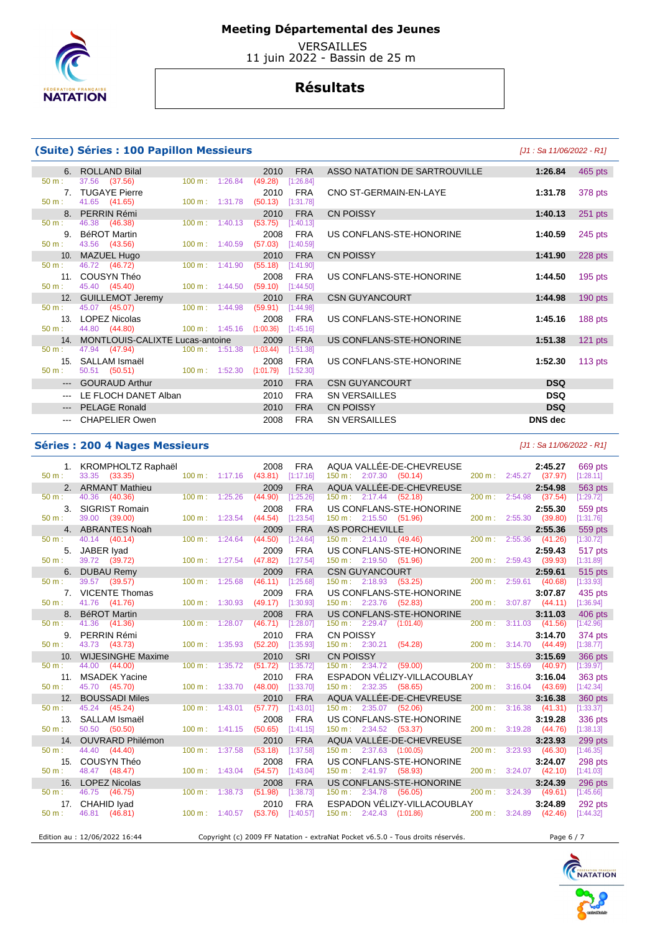

 VERSAILLES 11 juin 2022 - Bassin de 25 m

## **Résultats**

## **(Suite) Séries : 100 Papillon Messieurs** [J1 : Sa 11/06/2022 - R1]

50 m : 46.38 (46.38) 100 m : 1:40.13 (53.75) [1:40.13]

50 m : 44.80 (44.80) 100 m : 1:45.16 (1:00.36) [1:45.16]

50 m : 47.94 (47.94) 100 m : 1:51.38 (1:03.44) [1:51.38]

37.56 (37.56)

41.65 (41.65)

 $43.56$   $(43.56)$ 

46.72 (46.72)

45.40 (45.40)

45.07 (45.07)

# 6. ROLLAND Bilal 2010 FRA ASSO NATATION DE SARTROUVILLE **1:26.84** 465 pts 7. TUGAYE Pierre 2010 FRA CNO ST-GERMAIN-EN-LAYE **1:31.78** 378 pts 8. PERRIN Rémi 2010 FRA CN POISSY **1:40.13** 251 pts 9. BéROT Martin 2008 FRA US CONFLANS-STE-HONORINE **1:40.59** 245 pts 10. MAZUEL Hugo 2010 FRA CN POISSY **1:41.90** 228 pts 11. COUSYN Théo 2008 FRA US CONFLANS-STE-HONORINE **1:44.50** 195 pts 12. GUILLEMOT Jeremy 2010 FRA CSN GUYANCOURT 1:44.98 190 pts<br>
50 m : 45.07 (45.07) 100 m : 1:44.98 (59.91) [1:44.98] 13. LOPEZ Nicolas 2008 FRA US CONFLANS-STE-HONORINE **1:45.16** 188 pts 14. MONTLOUIS-CALIXTE Lucas-antoine 2009 FRA US CONFLANS-STE-HONORINE **1:51.38** 121 pts 15. SALLAM Ismaël 2008 FRA US CONFLANS-STE-HONORINE **1:52.30** 113 pts --- GOURAUD Arthur 2010 FRA CSN GUYANCOURT **DSQ**  --- LE FLOCH DANET Alban 2010 FRA SN VERSAILLES **DSQ**  --- PELAGE Ronald 2010 FRA CN POISSY **DSQ**  --- CHAPELIER Owen 2008 FRA SN VERSAILLES **DNS dec**

## **Séries : 200 4 Nages Messieurs Contract Contract Contract Contract Contract Contract Contract Contract Contract Contract Contract Contract Contract Contract Contract Contract Contract Contract Contract Contract Contract**

| $50 m$ :         | 1. KROMPHOLTZ Raphaël<br>33.35 (33.35)     |                           | $100 \text{ m}: 1:17.16$ (43.81) | 2008<br><b>FRA</b><br>[1:17.16]            | $150 \text{ m}: 2:07.30$ (50.14)         | AQUA VALLÉE-DE-CHEVREUSE                        |                        | 2:45.27<br>200 m: 2:45.27 (37.97) | 669 pts<br>[1:28.11] |
|------------------|--------------------------------------------|---------------------------|----------------------------------|--------------------------------------------|------------------------------------------|-------------------------------------------------|------------------------|-----------------------------------|----------------------|
|                  | 2. ARMANT Mathieu                          |                           |                                  | 2009<br><b>FRA</b>                         |                                          | AQUA VALLÉE-DE-CHEVREUSE                        |                        | 2:54.98                           | 563 pts              |
| 50 m:            | 40.36 (40.36)                              |                           | $100 \text{ m}: 1:25.26$ (44.90) | [1:25.26]                                  | 150 m: 2:17.44 (52.18)                   |                                                 |                        | 200 m: 2:54.98 (37.54)            | [1:29.72]            |
| $\mathbf{3}$     | <b>SIGRIST Romain</b>                      |                           |                                  | <b>FRA</b><br>2008                         |                                          | US CONFLANS-STE-HONORINE                        |                        | 2:55.30                           | 559 pts              |
| $50 m$ :         | 39.00 (39.00)                              | $100 m$ : 1:23.54         |                                  | (44.54)<br>[1:23.54]                       | 150 m: 2:15.50 (51.96)                   |                                                 |                        | 200 m: 2:55.30 (39.80)            | [1:31.76]            |
|                  | 4. ABRANTES Noah                           |                           |                                  | <b>FRA</b><br>2009                         | <b>AS PORCHEVILLE</b>                    | $\overline{a}$                                  |                        | 2:55.36                           | 559 pts              |
| $50 m$ :         | 40.14 (40.14)                              | $100 m$ : 1:24.64         |                                  | (44.50)<br>[1:24.64]                       |                                          | $150 \text{ m}: \quad 2:14.10 \quad (49.46)$    |                        | 200 m: 2:55.36 (41.26)            | [1:30.72]            |
|                  | JABER Iyad<br>5.                           |                           |                                  | <b>FRA</b><br>2009                         |                                          | US CONFLANS-STE-HONORINE                        |                        | 2:59.43                           | 517 pts              |
| $50 m$ :         | 39.72 (39.72)                              | 100 m: 1:27.54            |                                  | (47.82)<br>[1:27.54]                       | $150 \text{ m}: 2:19.50$ (51.96)         |                                                 |                        | 200 m: 2:59.43 (39.93)            | [1:31.89]            |
|                  | 6. DUBAU Remy                              |                           |                                  | <b>FRA</b><br>2009                         | <b>CSN GUYANCOURT</b>                    |                                                 |                        | 2:59.61                           | 515 pts              |
| $50 m$ :         | 39.57 (39.57)                              | $100 m$ : 1:25.68         |                                  | (46.11)<br>[1:25.68]                       |                                          | $150 \text{ m}: \quad 2:18.93 \quad (53.25)$    |                        | 200 m: 2:59.61 (40.68)            | [1:33.93]            |
|                  | <b>VICENTE Thomas</b><br>7.                |                           |                                  | <b>FRA</b><br>2009                         |                                          | US CONFLANS-STE-HONORINE                        |                        | 3:07.87                           | 435 pts              |
| $50 \text{ m}$ : | 41.76 (41.76)                              | $100 \text{ m}$ : 1:30.93 |                                  | (49.17)<br>[1:30.93]                       | 150 m: 2:23.76 (52.83)                   |                                                 |                        | 200 m: 3:07.87 (44.11)            | [1:36.94]            |
| $50 m$ :         | <b>BéROT Martin</b><br>8.<br>41.36 (41.36) | $100 \text{ m}$ : 1:28.07 |                                  | <b>FRA</b><br>2008<br>(46.71)<br>[1:28.07] | $150 \text{ m}: 2:29.47 \quad (1:01.40)$ | US CONFLANS-STE-HONORINE                        |                        | 3:11.03<br>200 m: 3:11.03 (41.56) | 406 pts<br>[1:42.96] |
|                  | 9. PERRIN Rémi                             |                           |                                  | <b>FRA</b><br>2010                         |                                          |                                                 |                        | 3:14.70                           |                      |
| $50 m$ :         | 43.73 (43.73)                              | $100 \text{ m}: 1:35.93$  |                                  | (52.20)<br>[1:35.93]                       |                                          | CN POISSY<br>150 m : 2:30.21 (54.28)            |                        | 200 m: 3:14.70 (44.49)            | 374 pts<br>[1:38.77] |
| 10.              | <b>WIJESINGHE Maxime</b>                   |                           |                                  | <b>SRI</b><br>2010                         | <b>CN POISSY</b>                         |                                                 |                        | 3:15.69                           | 366 pts              |
| $50 m$ :         | 44.00 (44.00)                              | 100 m: 1:35.72            |                                  | (51.72)<br>[1:35.72]                       |                                          | 150 m : 2:34.72 (59.00) 200 m : 3:15.69 (40.97) |                        |                                   | [1:39.97]            |
| 11.              | <b>MSADEK Yacine</b>                       |                           |                                  | <b>FRA</b><br>2010                         |                                          | ESPADON VÉLIZY-VILLACOUBLAY                     |                        | 3:16.04                           | 363 pts              |
| $50 m$ :         | 45.70 (45.70)                              | 100 m: 1:33.70            |                                  | (48.00)<br>[1:33.70]                       | $150 \text{ m}: 2:32.35$ (58.65)         |                                                 |                        | 200 m: 3:16.04 (43.69)            | [1:42.34]            |
|                  | 12. BOUSSADI Miles                         |                           |                                  | <b>FRA</b><br>2010                         |                                          | AQUA VALLÉE-DE-CHEVREUSE                        |                        | 3:16.38                           | 360 pts              |
| $50 m$ :         | 45.24 (45.24)                              | $100 \text{ m}$ : 1:43.01 |                                  | (57.77)<br>[1:43.01]                       | $150 \text{ m}: 2:35.07$ (52.06)         |                                                 |                        | 200 m: 3:16.38 (41.31)            | [1:33.37]            |
| 13.              | SALLAM Ismaël                              |                           |                                  | <b>FRA</b><br>2008                         |                                          | US CONFLANS-STE-HONORINE                        |                        | 3:19.28                           | 336 pts              |
| $50 m$ :         | 50.50 (50.50)                              | $100 \text{ m}$ : 1:41.15 |                                  | (50.65)<br>[1:41.15]                       | 150 m : 2:34.52 (53.37)                  |                                                 |                        | 200 m: 3:19.28 (44.76)            | [1:38.13]            |
| 14.              | <b>OUVRARD Philémon</b>                    |                           |                                  | 2010<br><b>FRA</b>                         |                                          | AQUA VALLÉE-DE-CHEVREUSE                        |                        | 3:23.93                           | 299 pts              |
| $50 m$ :         | 44.40 (44.40)                              | 100 m: 1:37.58            |                                  | (53.18)<br>[1:37.58]                       | $150 \text{ m}: 2:37.63$ $(1:00.05)$     |                                                 | 200 m: 3:23.93 (46.30) |                                   | [1:46.35]            |
| 15.              | COUSYN Théo                                |                           |                                  | 2008<br><b>FRA</b>                         |                                          | US CONFLANS-STE-HONORINE                        |                        | 3:24.07                           | 298 pts              |
| 50 m:            | 48.47 (48.47)                              | $100 m$ : 1:43.04         |                                  | (54.57)<br>[1:43.04]                       |                                          | 150 m : 2:41.97 (58.93)                         |                        | 200 m: 3:24.07 (42.10)            | [1:41.03]            |
|                  | 16. LOPEZ Nicolas                          |                           |                                  | <b>FRA</b><br>2008                         |                                          | US CONFLANS-STE-HONORINE                        |                        | 3:24.39                           | 296 pts              |
| $50 m$ :         | 46.75 (46.75)                              | 100 m: 1:38.73            |                                  | (51.98)<br>[1:38.73]                       |                                          | 150 m : 2:34.78 (56.05) 200 m : 3:24.39 (49.61) |                        |                                   | [1:45.66]            |
|                  | CHAHID Iyad<br>17.                         |                           |                                  | <b>FRA</b><br>2010                         |                                          | ESPADON VÉLIZY-VILLACOUBLAY                     |                        | 3:24.89                           | 292 pts              |
| $50 m$ :         | 46.81 (46.81)                              | $100 \text{ m}$ : 1:40.57 |                                  | (53.76)<br>[1:40.57]                       | $150 \text{ m}: 2:42.43$ $(1:01.86)$     | 200 m : 3:24.89                                 |                        | (42.46)                           | [1:44.32]            |

 $(1:01.79)$   $[1:52.30]$ 

Edition au : 12/06/2022 16:44 Copyright (c) 2009 FF Natation - extraNat Pocket v6.5.0 - Tous droits réservés. Page 6 / 7